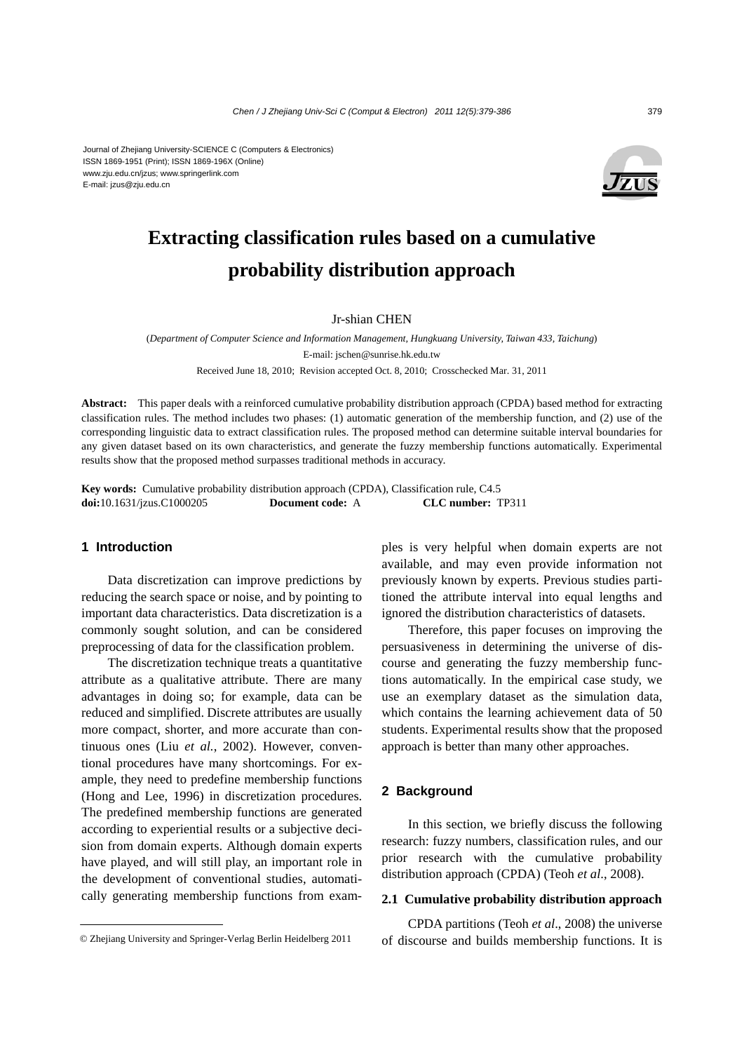

# **Extracting classification rules based on a cumulative probability distribution approach**

Jr-shian CHEN

(*Department of Computer Science and Information Management, Hungkuang University, Taiwan 433, Taichung*) E-mail: jschen@sunrise.hk.edu.tw Received June 18, 2010; Revision accepted Oct. 8, 2010; Crosschecked Mar. 31, 2011

**Abstract:** This paper deals with a reinforced cumulative probability distribution approach (CPDA) based method for extracting classification rules. The method includes two phases: (1) automatic generation of the membership function, and (2) use of the corresponding linguistic data to extract classification rules. The proposed method can determine suitable interval boundaries for any given dataset based on its own characteristics, and generate the fuzzy membership functions automatically. Experimental results show that the proposed method surpasses traditional methods in accuracy.

**Key words:** Cumulative probability distribution approach (CPDA), Classification rule, C4.5 **doi:**10.1631/jzus.C1000205 **Document code:** A **CLC number:** TP311

## **1 Introduction**

Data discretization can improve predictions by reducing the search space or noise, and by pointing to important data characteristics. Data discretization is a commonly sought solution, and can be considered preprocessing of data for the classification problem.

The discretization technique treats a quantitative attribute as a qualitative attribute. There are many advantages in doing so; for example, data can be reduced and simplified. Discrete attributes are usually more compact, shorter, and more accurate than continuous ones (Liu *et al.*, 2002). However, conventional procedures have many shortcomings. For example, they need to predefine membership functions (Hong and Lee, 1996) in discretization procedures. The predefined membership functions are generated according to experiential results or a subjective decision from domain experts. Although domain experts have played, and will still play, an important role in the development of conventional studies, automatically generating membership functions from examples is very helpful when domain experts are not available, and may even provide information not previously known by experts. Previous studies partitioned the attribute interval into equal lengths and ignored the distribution characteristics of datasets.

Therefore, this paper focuses on improving the persuasiveness in determining the universe of discourse and generating the fuzzy membership functions automatically. In the empirical case study, we use an exemplary dataset as the simulation data, which contains the learning achievement data of 50 students. Experimental results show that the proposed approach is better than many other approaches.

## **2 Background**

In this section, we briefly discuss the following research: fuzzy numbers, classification rules, and our prior research with the cumulative probability distribution approach (CPDA) (Teoh *et al*., 2008).

## **2.1 Cumulative probability distribution approach**

CPDA partitions (Teoh *et al*., 2008) the universe of discourse and builds membership functions. It is

<sup>©</sup> Zhejiang University and Springer-Verlag Berlin Heidelberg 2011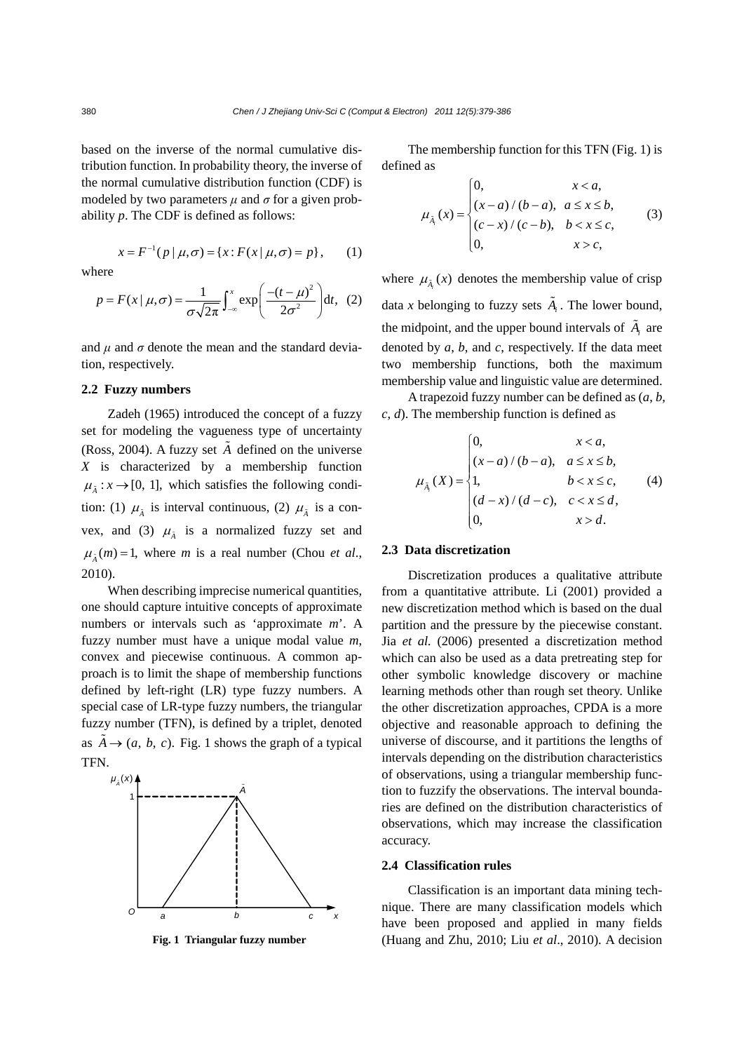based on the inverse of the normal cumulative distribution function. In probability theory, the inverse of the normal cumulative distribution function (CDF) is modeled by two parameters  $\mu$  and  $\sigma$  for a given probability *p*. The CDF is defined as follows:

$$
x = F^{-1}(p | \mu, \sigma) = \{x : F(x | \mu, \sigma) = p\}, \qquad (1)
$$

where

$$
p = F(x | \mu, \sigma) = \frac{1}{\sigma \sqrt{2\pi}} \int_{-\infty}^{x} \exp\left(\frac{-(t - \mu)^2}{2\sigma^2}\right) dt, \tag{2}
$$

and  $\mu$  and  $\sigma$  denote the mean and the standard deviation, respectively.

## **2.2 Fuzzy numbers**

Zadeh (1965) introduced the concept of a fuzzy set for modeling the vagueness type of uncertainty (Ross, 2004). A fuzzy set  $\tilde{A}$  defined on the universe *X* is characterized by a membership function  $\mu_{\tilde{\lambda}} : x \to [0, 1]$ , which satisfies the following condition: (1)  $\mu_{\tilde{A}}$  is interval continuous, (2)  $\mu_{\tilde{A}}$  is a convex, and (3)  $\mu_{\tilde{\lambda}}$  is a normalized fuzzy set and  $\mu_{\tilde{\lambda}}(m) = 1$ , where *m* is a real number (Chou *et al.*, 2010).

When describing imprecise numerical quantities, one should capture intuitive concepts of approximate numbers or intervals such as 'approximate *m*'. A fuzzy number must have a unique modal value *m*, convex and piecewise continuous. A common approach is to limit the shape of membership functions defined by left-right (LR) type fuzzy numbers. A special case of LR-type fuzzy numbers, the triangular fuzzy number (TFN), is defined by a triplet, denoted as  $A \rightarrow (a, b, c)$ . Fig. 1 shows the graph of a typical TFN.



The membership function for this TFN (Fig. 1) is defined as

$$
\mu_{\lambda_i}(x) = \begin{cases}\n0, & x < a, \\
(x - a) / (b - a), & a \le x \le b, \\
(c - x) / (c - b), & b < x \le c, \\
0, & x > c,\n\end{cases}
$$
\n(3)

where  $\mu_{\tilde{A}_i}(x)$  denotes the membership value of crisp data *x* belonging to fuzzy sets  $\tilde{A}_i$ . The lower bound, the midpoint, and the upper bound intervals of  $\tilde{A}_i$  are denoted by *a*, *b*, and *c*, respectively. If the data meet two membership functions, both the maximum membership value and linguistic value are determined.

A trapezoid fuzzy number can be defined as (*a*, *b*, *c*, *d*). The membership function is defined as

$$
\mu_{\tilde{A}_i}(X) = \begin{cases}\n0, & x < a, \\
(x-a) / (b-a), & a \le x \le b, \\
1, & b < x \le c, \\
(d-x) / (d-c), & c < x \le d, \\
0, & x > d.\n\end{cases}
$$
\n(4)

#### **2.3 Data discretization**

Discretization produces a qualitative attribute from a quantitative attribute. Li (2001) provided a new discretization method which is based on the dual partition and the pressure by the piecewise constant. Jia *et al.* (2006) presented a discretization method which can also be used as a data pretreating step for other symbolic knowledge discovery or machine learning methods other than rough set theory. Unlike the other discretization approaches, CPDA is a more objective and reasonable approach to defining the universe of discourse, and it partitions the lengths of intervals depending on the distribution characteristics of observations, using a triangular membership function to fuzzify the observations. The interval boundaries are defined on the distribution characteristics of observations, which may increase the classification accuracy.

#### **2.4 Classification rules**

Classification is an important data mining technique. There are many classification models which have been proposed and applied in many fields **Fig. 1 Triangular fuzzy number** (Huang and Zhu, 2010; Liu *et al*., 2010). A decision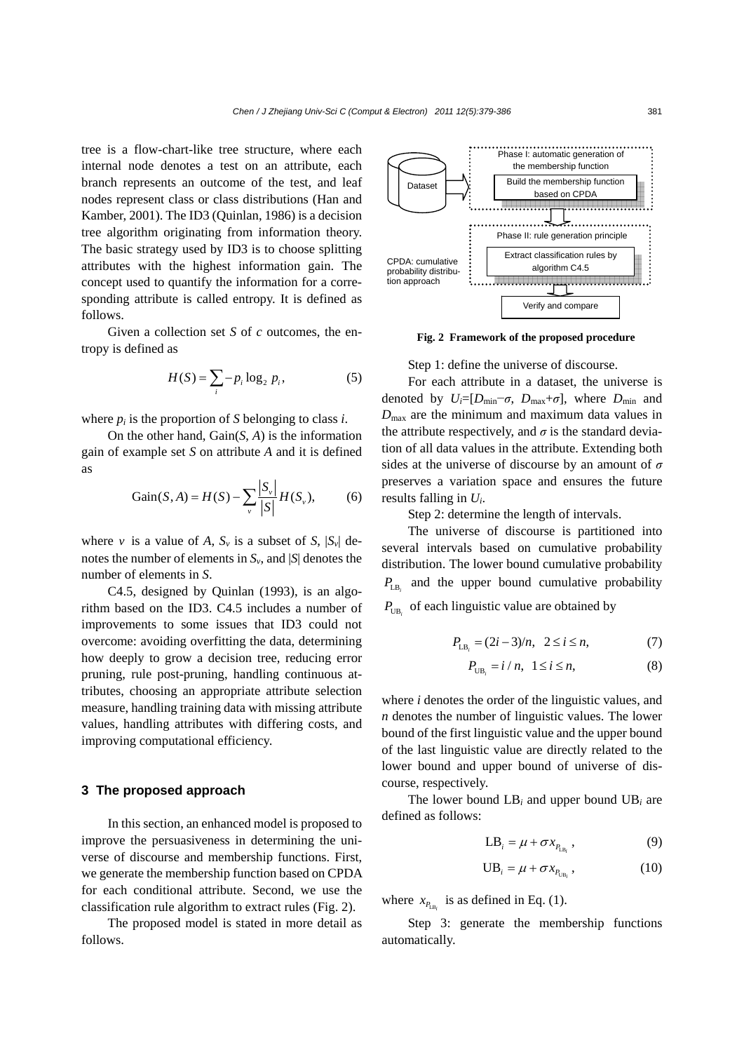tree is a flow-chart-like tree structure, where each internal node denotes a test on an attribute, each branch represents an outcome of the test, and leaf nodes represent class or class distributions (Han and Kamber, 2001). The ID3 (Quinlan, 1986) is a decision tree algorithm originating from information theory. The basic strategy used by ID3 is to choose splitting attributes with the highest information gain. The concept used to quantify the information for a corresponding attribute is called entropy. It is defined as follows.

Given a collection set *S* of *c* outcomes, the entropy is defined as

$$
H(S) = \sum_{i} -p_i \log_2 p_i, \qquad (5)
$$

where  $p_i$  is the proportion of *S* belonging to class *i*.

On the other hand, Gain(*S*, *A*) is the information gain of example set *S* on attribute *A* and it is defined as

Gain(S, A) = 
$$
H(S) - \sum_{v} \frac{|S_v|}{|S|} H(S_v)
$$
, (6)

where *v* is a value of *A*,  $S_v$  is a subset of *S*,  $|S_v|$  denotes the number of elements in  $S_{\nu}$ , and  $|S|$  denotes the number of elements in *S*.

C4.5, designed by Quinlan (1993), is an algorithm based on the ID3. C4.5 includes a number of improvements to some issues that ID3 could not overcome: avoiding overfitting the data, determining how deeply to grow a decision tree, reducing error pruning, rule post-pruning, handling continuous attributes, choosing an appropriate attribute selection measure, handling training data with missing attribute values, handling attributes with differing costs, and improving computational efficiency.

# **3 The proposed approach**

In this section, an enhanced model is proposed to improve the persuasiveness in determining the universe of discourse and membership functions. First, we generate the membership function based on CPDA for each conditional attribute. Second, we use the classification rule algorithm to extract rules (Fig. 2).

The proposed model is stated in more detail as follows.



**Fig. 2 Framework of the proposed procedure** 

Step 1: define the universe of discourse.

For each attribute in a dataset, the universe is denoted by  $U_i=[D_{\min}-\sigma, D_{\max}+\sigma]$ , where  $D_{\min}$  and  $D_{\text{max}}$  are the minimum and maximum data values in the attribute respectively, and  $\sigma$  is the standard deviation of all data values in the attribute. Extending both sides at the universe of discourse by an amount of *σ* preserves a variation space and ensures the future results falling in *Ui*.

Step 2: determine the length of intervals.

The universe of discourse is partitioned into several intervals based on cumulative probability distribution. The lower bound cumulative probability  $P_{\text{IR}}$  and the upper bound cumulative probability  $P_{UB}$  of each linguistic value are obtained by

$$
P_{\text{LB}_i} = (2i - 3)/n, \ \ 2 \le i \le n,\tag{7}
$$

$$
P_{\text{UB}_i} = i / n, \ \ 1 \le i \le n,\tag{8}
$$

where *i* denotes the order of the linguistic values, and *n* denotes the number of linguistic values. The lower bound of the first linguistic value and the upper bound of the last linguistic value are directly related to the lower bound and upper bound of universe of discourse, respectively.

The lower bound LB*i* and upper bound UB*i* are defined as follows:

$$
LB_i = \mu + \sigma x_{P_{LB_i}}\,,\tag{9}
$$

$$
UB_i = \mu + \sigma x_{P_{UB_i}}, \qquad (10)
$$

where  $x_{B_n}$  is as defined in Eq. (1).

Step 3: generate the membership functions automatically.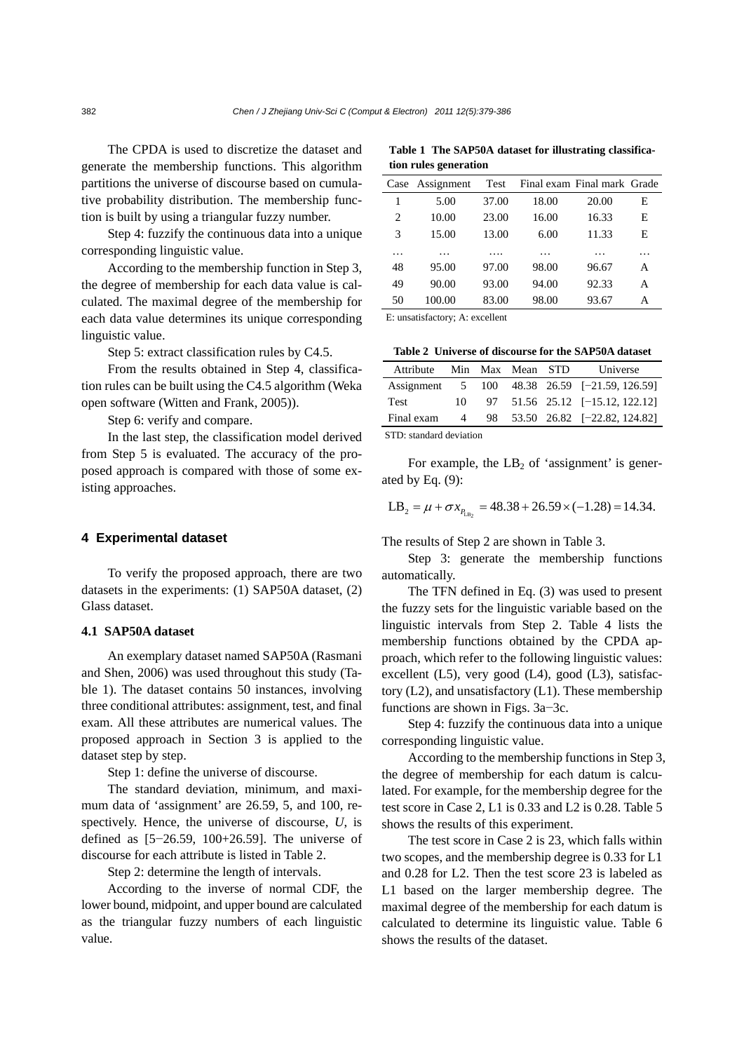The CPDA is used to discretize the dataset and generate the membership functions. This algorithm partitions the universe of discourse based on cumulative probability distribution. The membership function is built by using a triangular fuzzy number.

Step 4: fuzzify the continuous data into a unique corresponding linguistic value.

According to the membership function in Step 3, the degree of membership for each data value is calculated. The maximal degree of the membership for each data value determines its unique corresponding linguistic value.

Step 5: extract classification rules by C4.5.

From the results obtained in Step 4, classification rules can be built using the C4.5 algorithm (Weka open software (Witten and Frank, 2005)).

Step 6: verify and compare.

In the last step, the classification model derived from Step 5 is evaluated. The accuracy of the proposed approach is compared with those of some existing approaches.

## **4 Experimental dataset**

To verify the proposed approach, there are two datasets in the experiments: (1) SAP50A dataset, (2) Glass dataset.

# **4.1 SAP50A dataset**

An exemplary dataset named SAP50A (Rasmani and Shen, 2006) was used throughout this study (Table 1). The dataset contains 50 instances, involving three conditional attributes: assignment, test, and final exam. All these attributes are numerical values. The proposed approach in Section 3 is applied to the dataset step by step.

Step 1: define the universe of discourse.

The standard deviation, minimum, and maximum data of 'assignment' are 26.59, 5, and 100, respectively. Hence, the universe of discourse, *U*, is defined as [5−26.59, 100+26.59]. The universe of discourse for each attribute is listed in Table 2.

Step 2: determine the length of intervals.

According to the inverse of normal CDF, the lower bound, midpoint, and upper bound are calculated as the triangular fuzzy numbers of each linguistic value.

**Table 1 The SAP50A dataset for illustrating classification rules generation**

|    | Case Assignment | Test  |       | Final exam Final mark Grade |   |
|----|-----------------|-------|-------|-----------------------------|---|
| 1  | 5.00            | 37.00 | 18.00 | 20.00                       | Е |
| 2  | 10.00           | 23.00 | 16.00 | 16.33                       | Е |
| 3  | 15.00           | 13.00 | 6.00  | 11.33                       | E |
| .  | .               |       | .     | .                           |   |
| 48 | 95.00           | 97.00 | 98.00 | 96.67                       | A |
| 49 | 90.00           | 93.00 | 94.00 | 92.33                       | A |
| 50 | 100.00          | 83.00 | 98.00 | 93.67                       | А |

E: unsatisfactory; A: excellent

|  |  |  |  | Table 2 Universe of discourse for the SAP50A dataset |  |
|--|--|--|--|------------------------------------------------------|--|
|--|--|--|--|------------------------------------------------------|--|

| Attribute Min Max Mean STD |     |  |  |  | Universe                                      |  |
|----------------------------|-----|--|--|--|-----------------------------------------------|--|
|                            |     |  |  |  | Assignment 5 100 48.38 26.59 [-21.59, 126.59] |  |
| <b>Test</b>                | 10. |  |  |  | 97 51.56 25.12 [-15.12, 122.12]               |  |
| Final exam                 | 4   |  |  |  | 98 53.50 26.82 [-22.82, 124.82]               |  |
| $STD1$ etandard deviation  |     |  |  |  |                                               |  |

STD: standard deviation

For example, the  $LB<sub>2</sub>$  of 'assignment' is generated by Eq. (9):

$$
LB_2 = \mu + \sigma x_{P_{LB_2}} = 48.38 + 26.59 \times (-1.28) = 14.34.
$$

The results of Step 2 are shown in Table 3.

Step 3: generate the membership functions automatically.

The TFN defined in Eq. (3) was used to present the fuzzy sets for the linguistic variable based on the linguistic intervals from Step 2. Table 4 lists the membership functions obtained by the CPDA approach, which refer to the following linguistic values: excellent (L5), very good (L4), good (L3), satisfactory (L2), and unsatisfactory (L1). These membership functions are shown in Figs. 3a−3c.

Step 4: fuzzify the continuous data into a unique corresponding linguistic value.

According to the membership functions in Step 3, the degree of membership for each datum is calculated. For example, for the membership degree for the test score in Case 2, L1 is 0.33 and L2 is 0.28. Table 5 shows the results of this experiment.

The test score in Case 2 is 23, which falls within two scopes, and the membership degree is 0.33 for L1 and 0.28 for L2. Then the test score 23 is labeled as L1 based on the larger membership degree. The maximal degree of the membership for each datum is calculated to determine its linguistic value. Table 6 shows the results of the dataset.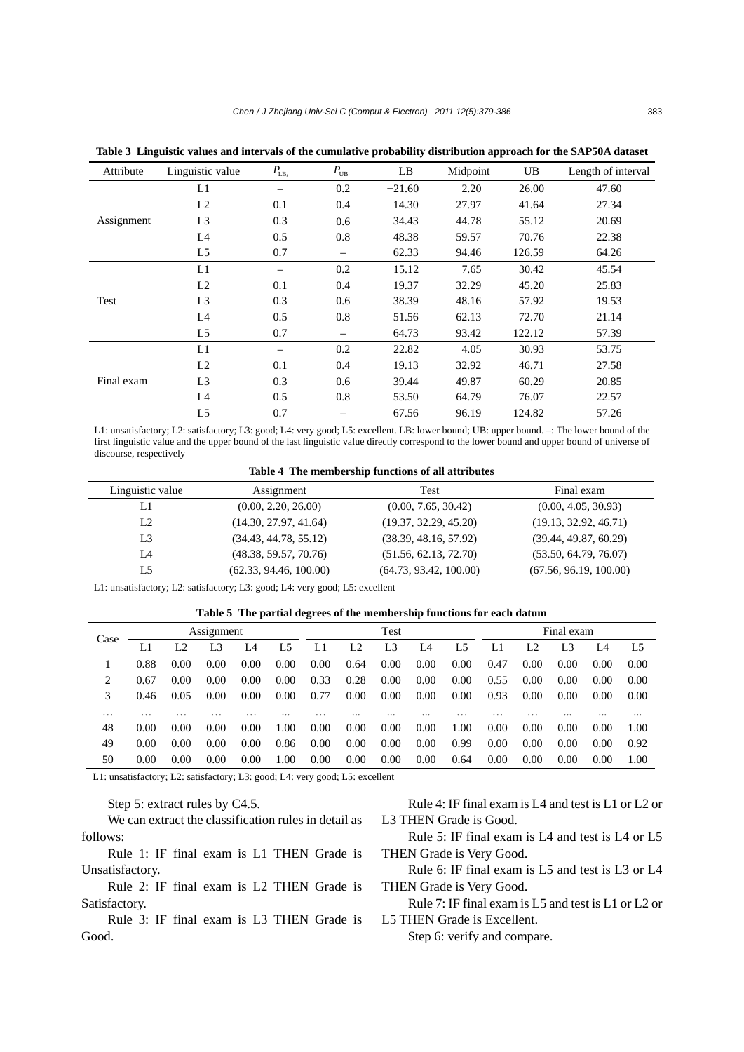| Attribute  | Linguistic value | $P_{\text{LB}_{i}}$ | $P_{UB_i}$ | LB       | Midpoint | UB     | Length of interval |
|------------|------------------|---------------------|------------|----------|----------|--------|--------------------|
|            | L1               |                     | 0.2        | $-21.60$ | 2.20     | 26.00  | 47.60              |
|            | L2               | 0.1                 | 0.4        | 14.30    | 27.97    | 41.64  | 27.34              |
| Assignment | L <sub>3</sub>   | 0.3                 | 0.6        | 34.43    | 44.78    | 55.12  | 20.69              |
|            | L4               | 0.5                 | 0.8        | 48.38    | 59.57    | 70.76  | 22.38              |
|            | L5               | 0.7                 | -          | 62.33    | 94.46    | 126.59 | 64.26              |
| Test       | L1               |                     | 0.2        | $-15.12$ | 7.65     | 30.42  | 45.54              |
|            | L2               | 0.1                 | 0.4        | 19.37    | 32.29    | 45.20  | 25.83              |
|            | L <sub>3</sub>   | 0.3                 | 0.6        | 38.39    | 48.16    | 57.92  | 19.53              |
|            | L4               | 0.5                 | 0.8        | 51.56    | 62.13    | 72.70  | 21.14              |
|            | L <sub>5</sub>   | 0.7                 | —          | 64.73    | 93.42    | 122.12 | 57.39              |
| Final exam | L1               |                     | 0.2        | $-22.82$ | 4.05     | 30.93  | 53.75              |
|            | L2               | 0.1                 | 0.4        | 19.13    | 32.92    | 46.71  | 27.58              |
|            | L <sub>3</sub>   | 0.3                 | 0.6        | 39.44    | 49.87    | 60.29  | 20.85              |
|            | L4               | 0.5                 | 0.8        | 53.50    | 64.79    | 76.07  | 22.57              |
|            | L <sub>5</sub>   | 0.7                 |            | 67.56    | 96.19    | 124.82 | 57.26              |

**Table 3 Linguistic values and intervals of the cumulative probability distribution approach for the SAP50A dataset**

L1: unsatisfactory; L2: satisfactory; L3: good; L4: very good; L5: excellent. LB: lower bound; UB: upper bound. –: The lower bound of the first linguistic value and the upper bound of the last linguistic value directly correspond to the lower bound and upper bound of universe of discourse, respectively

**Table 4 The membership functions of all attributes** 

| Linguistic value | Assignment             | Test                   | Final exam             |
|------------------|------------------------|------------------------|------------------------|
| LI               | (0.00, 2.20, 26.00)    | (0.00, 7.65, 30.42)    | (0.00, 4.05, 30.93)    |
| L <sub>2</sub>   | (14.30, 27.97, 41.64)  | (19.37, 32.29, 45.20)  | (19.13, 32.92, 46.71)  |
| L <sub>3</sub>   | (34.43, 44.78, 55.12)  | (38.39, 48.16, 57.92)  | (39.44, 49.87, 60.29)  |
| I A              | (48.38, 59.57, 70.76)  | (51.56, 62.13, 72.70)  | (53.50, 64.79, 76.07)  |
| L <sub>5</sub>   | (62.33, 94.46, 100.00) | (64.73, 93.42, 100.00) | (67.56, 96.19, 100.00) |

L1: unsatisfactory; L2: satisfactory; L3: good; L4: very good; L5: excellent

**Table 5 The partial degrees of the membership functions for each datum**

| Case     | Assignment |                |      | Test |      |      | Final exam |                |          |      |      |      |      |          |      |
|----------|------------|----------------|------|------|------|------|------------|----------------|----------|------|------|------|------|----------|------|
|          |            | L <sub>2</sub> | L3   | I A  | L5   |      | L2         | L <sub>3</sub> | L4       | L5   |      | L2   | L3   | L4       | L5   |
|          | 0.88       | 0.00           | 0.00 | 0.00 | 0.00 | 0.00 | 0.64       | 0.00           | 0.00     | 0.00 | 0.47 | 0.00 | 0.00 | 0.00     | 0.00 |
| 2        | 0.67       | 0.00           | 0.00 | 0.00 | 0.00 | 0.33 | 0.28       | 0.00           | 0.00     | 0.00 | 0.55 | 0.00 | 0.00 | 0.00     | 0.00 |
| 3        | 0.46       | 0.05           | 0.00 | 0.00 | 0.00 | 0.77 | 0.00       | 0.00           | 0.00     | 0.00 | 0.93 | 0.00 | 0.00 | 0.00     | 0.00 |
| $\cdots$ | .          | .              | .    | .    |      | .    |            |                | $\cdots$ | .    | .    | .    |      | $\cdots$ |      |
| 48       | 0.00       | 0.00           | 0.00 | 0.00 | 1.00 | 0.00 | 0.00       | 0.00           | 0.00     | 1.00 | 0.00 | 0.00 | 0.00 | 0.00     | 1.00 |
| 49       | 0.00       | 0.00           | 0.00 | 0.00 | 0.86 | 0.00 | 0.00       | 0.00           | 0.00     | 0.99 | 0.00 | 0.00 | 0.00 | 0.00     | 0.92 |
| 50       | 0.00       | 0.00           | 0.00 | 0.00 | 1.00 | 0.00 | 0.00       | 0.00           | 0.00     | 0.64 | 0.00 | 0.00 | 0.00 | 0.00     | 1.00 |

L1: unsatisfactory; L2: satisfactory; L3: good; L4: very good; L5: excellent

Step 5: extract rules by C4.5.

We can extract the classification rules in detail as follows:

Rule 1: IF final exam is L1 THEN Grade is Unsatisfactory.

Rule 2: IF final exam is L2 THEN Grade is Satisfactory.

Rule 3: IF final exam is L3 THEN Grade is Good.

Rule 4: IF final exam is L4 and test is L1 or L2 or L3 THEN Grade is Good.

Rule 5: IF final exam is L4 and test is L4 or L5 THEN Grade is Very Good.

Rule 6: IF final exam is L5 and test is L3 or L4 THEN Grade is Very Good.

Rule 7: IF final exam is L5 and test is L1 or L2 or L5 THEN Grade is Excellent.

Step 6: verify and compare.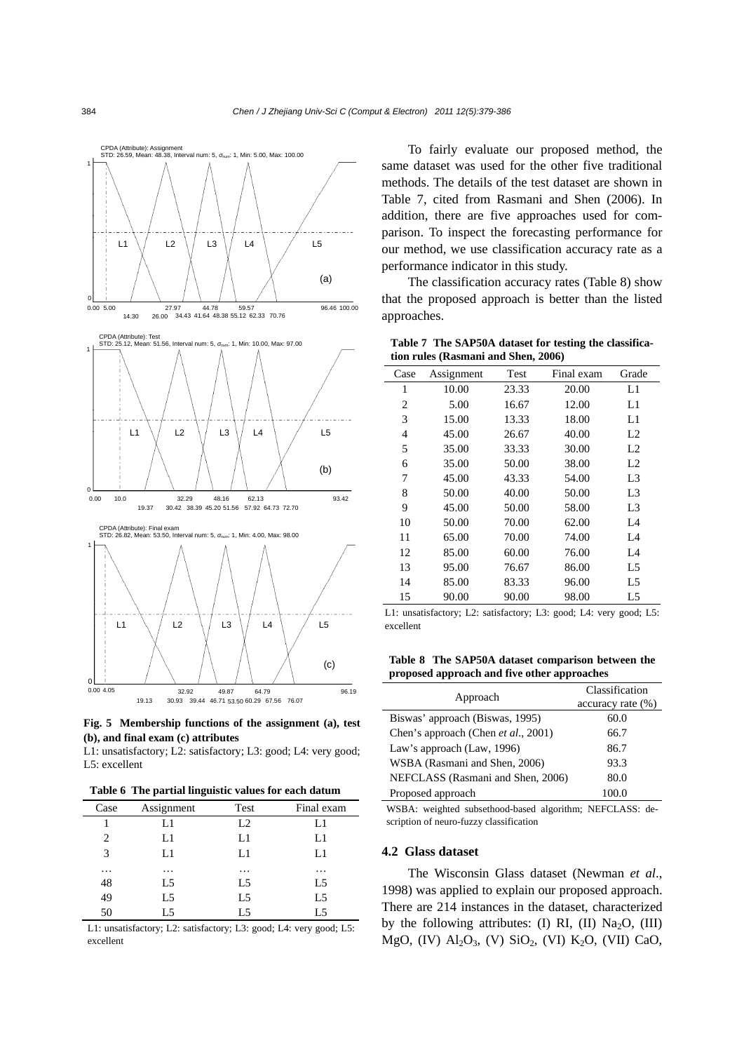



L1: unsatisfactory; L2: satisfactory; L3: good; L4: very good; L5: excellent

|  |  |  |  | Table 6 The partial linguistic values for each datum |
|--|--|--|--|------------------------------------------------------|
|--|--|--|--|------------------------------------------------------|

| Case     | Assignment | Test           | Final exam     |
|----------|------------|----------------|----------------|
|          | L1         | L2             | L1             |
| 2        | L1         | L1             | L1             |
| 3        | L1         | L1             | L1             |
| $\cdots$ | $\cdots$   | $\cdots$       | $\cdots$       |
| 48       | L5         | L5             | L5             |
| 49       | L5         | L5             | L5             |
| 50       | L5         | L <sub>5</sub> | L <sub>5</sub> |

L1: unsatisfactory; L2: satisfactory; L3: good; L4: very good; L5: excellent

To fairly evaluate our proposed method, the same dataset was used for the other five traditional methods. The details of the test dataset are shown in Table 7, cited from Rasmani and Shen (2006). In addition, there are five approaches used for comparison. To inspect the forecasting performance for our method, we use classification accuracy rate as a performance indicator in this study.

The classification accuracy rates (Table 8) show that the proposed approach is better than the listed approaches.

**Table 7 The SAP50A dataset for testing the classification rules (Rasmani and Shen, 2006)**

| Case           | Assignment | Test  | Final exam | Grade          |
|----------------|------------|-------|------------|----------------|
| 1              | 10.00      | 23.33 | 20.00      | L1             |
| $\overline{c}$ | 5.00       | 16.67 | 12.00      | L1             |
| 3              | 15.00      | 13.33 | 18.00      | L1             |
| 4              | 45.00      | 26.67 | 40.00      | L2             |
| 5              | 35.00      | 33.33 | 30.00      | L2             |
| 6              | 35.00      | 50.00 | 38.00      | L2             |
| 7              | 45.00      | 43.33 | 54.00      | L <sub>3</sub> |
| 8              | 50.00      | 40.00 | 50.00      | L <sub>3</sub> |
| 9              | 45.00      | 50.00 | 58.00      | L <sub>3</sub> |
| 10             | 50.00      | 70.00 | 62.00      | L4             |
| 11             | 65.00      | 70.00 | 74.00      | L4             |
| 12             | 85.00      | 60.00 | 76.00      | L4             |
| 13             | 95.00      | 76.67 | 86.00      | L5             |
| 14             | 85.00      | 83.33 | 96.00      | L5             |
| 15             | 90.00      | 90.00 | 98.00      | L5             |

L1: unsatisfactory; L2: satisfactory; L3: good; L4: very good; L5: excellent

**Table 8 The SAP50A dataset comparison between the proposed approach and five other approaches** 

| Approach                            | Classification       |
|-------------------------------------|----------------------|
|                                     | $accuracy rate (\%)$ |
| Biswas' approach (Biswas, 1995)     | 60.0                 |
| Chen's approach (Chen et al., 2001) | 66.7                 |
| Law's approach (Law, 1996)          | 86.7                 |
| WSBA (Rasmani and Shen, 2006)       | 93.3                 |
| NEFCLASS (Rasmani and Shen, 2006)   | 80.0                 |
| Proposed approach                   | 100.0                |

WSBA: weighted subsethood-based algorithm; NEFCLASS: description of neuro-fuzzy classification

#### **4.2 Glass dataset**

The Wisconsin Glass dataset (Newman *et al*., 1998) was applied to explain our proposed approach. There are 214 instances in the dataset, characterized by the following attributes: (I) RI, (II) Na<sub>2</sub>O, (III) MgO, (IV)  $Al_2O_3$ , (V)  $SiO_2$ , (VI)  $K_2O$ , (VII) CaO,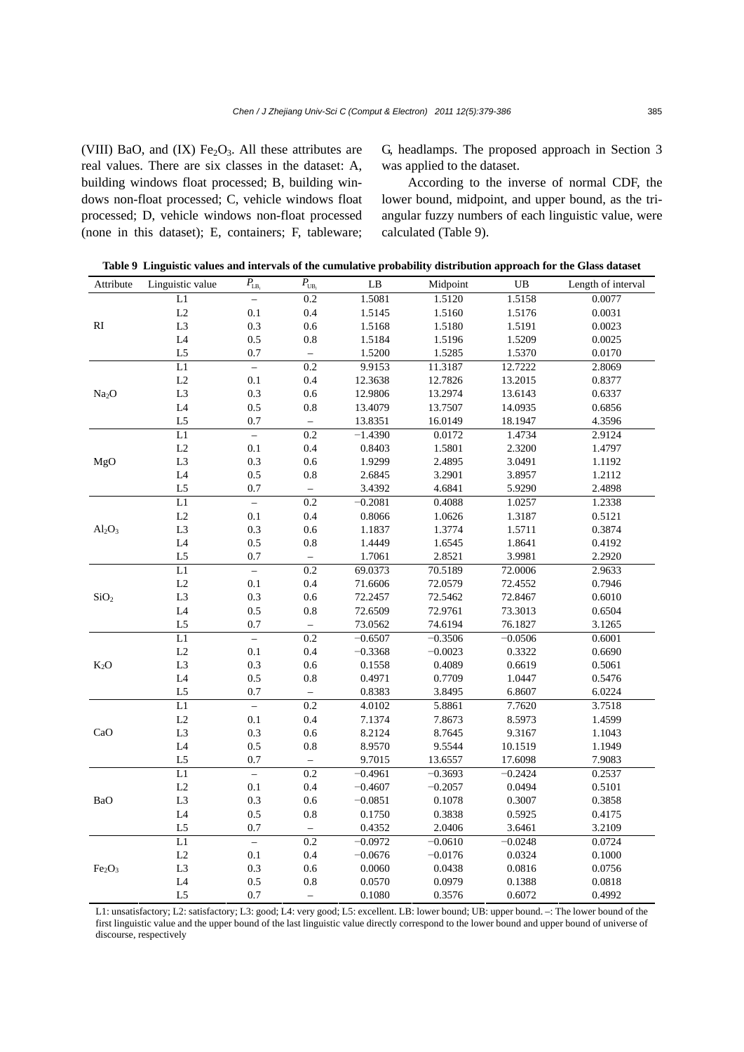(VIII) BaO, and  $(IX)$  Fe<sub>2</sub>O<sub>3</sub>. All these attributes are real values. There are six classes in the dataset: A, building windows float processed; B, building windows non-float processed; C, vehicle windows float processed; D, vehicle windows non-float processed (none in this dataset); E, containers; F, tableware; G, headlamps. The proposed approach in Section 3 was applied to the dataset.

According to the inverse of normal CDF, the lower bound, midpoint, and upper bound, as the triangular fuzzy numbers of each linguistic value, were calculated (Table 9).

**Table 9 Linguistic values and intervals of the cumulative probability distribution approach for the Glass dataset**

| Attribute                      | Linguistic value         | $P_{\text{LB}_i}$        | $\overline{P_{UB_i}}$    | LB        | Midpoint  | $_{\rm UB}$ | Length of interval |
|--------------------------------|--------------------------|--------------------------|--------------------------|-----------|-----------|-------------|--------------------|
|                                | $\overline{L1}$          | $\overline{\phantom{0}}$ | 0.2                      | 1.5081    | 1.5120    | 1.5158      | 0.0077             |
|                                | L2                       | 0.1                      | $0.4\,$                  | 1.5145    | 1.5160    | 1.5176      | 0.0031             |
| RI                             | $\rm L3$                 | 0.3                      | 0.6                      | 1.5168    | 1.5180    | 1.5191      | 0.0023             |
|                                | L4                       | 0.5                      | 0.8                      | 1.5184    | 1.5196    | 1.5209      | 0.0025             |
|                                | L <sub>5</sub>           | 0.7                      | $\bar{ }$                | 1.5200    | 1.5285    | 1.5370      | 0.0170             |
|                                | L1                       | $\overline{a}$           | 0.2                      | 9.9153    | 11.3187   | 12.7222     | 2.8069             |
|                                | L2                       | 0.1                      | 0.4                      | 12.3638   | 12.7826   | 13.2015     | 0.8377             |
| Na <sub>2</sub> O              | $\rm L3$                 | 0.3                      | 0.6                      | 12.9806   | 13.2974   | 13.6143     | 0.6337             |
|                                | L4                       | 0.5                      | 0.8                      | 13.4079   | 13.7507   | 14.0935     | 0.6856             |
|                                | L <sub>5</sub>           | 0.7                      | $\bar{\phantom{a}}$      | 13.8351   | 16.0149   | 18.1947     | 4.3596             |
|                                | $\overline{L1}$          | $\equiv$                 | 0.2                      | $-1.4390$ | 0.0172    | 1.4734      | 2.9124             |
|                                | $\rm L2$                 | 0.1                      | $0.4\,$                  | 0.8403    | 1.5801    | 2.3200      | 1.4797             |
| MgO                            | $\rm L3$                 | 0.3                      | $0.6\,$                  | 1.9299    | 2.4895    | 3.0491      | 1.1192             |
|                                | $\mathsf{L}4$            | 0.5                      | $0.8\,$                  | 2.6845    | 3.2901    | 3.8957      | 1.2112             |
|                                | L <sub>5</sub>           | 0.7                      | $\overline{\phantom{0}}$ | 3.4392    | 4.6841    | 5.9290      | 2.4898             |
|                                | L1                       | $\equiv$                 | 0.2                      | $-0.2081$ | 0.4088    | 1.0257      | 1.2338             |
|                                | L2                       | 0.1                      | 0.4                      | 0.8066    | 1.0626    | 1.3187      | 0.5121             |
| $Al_2O_3$                      | L <sub>3</sub>           | 0.3                      | $0.6\,$                  | 1.1837    | 1.3774    | 1.5711      | 0.3874             |
|                                | L4                       | 0.5                      | $\rm 0.8$                | 1.4449    | 1.6545    | 1.8641      | 0.4192             |
|                                | L5                       | 0.7                      | $\equiv$                 | 1.7061    | 2.8521    | 3.9981      | 2.2920             |
|                                | L1                       | $\equiv$                 | $\overline{0.2}$         | 69.0373   | 70.5189   | 72.0006     | 2.9633             |
|                                | $\rm L2$                 | 0.1                      | $0.4\,$                  | 71.6606   | 72.0579   | 72.4552     | 0.7946             |
| SiO <sub>2</sub>               | L <sub>3</sub>           | 0.3                      | $0.6\,$                  | 72.2457   | 72.5462   | 72.8467     | 0.6010             |
|                                | L4                       | 0.5                      | 0.8                      | 72.6509   | 72.9761   | 73.3013     | 0.6504             |
|                                | L <sub>5</sub>           | 0.7                      | $\overline{\phantom{0}}$ | 73.0562   | 74.6194   | 76.1827     | 3.1265             |
|                                | $\overline{L1}$          | $\overline{\phantom{0}}$ | $\overline{0.2}$         | $-0.6507$ | $-0.3506$ | $-0.0506$   | 0.6001             |
|                                | $\rm L2$                 | 0.1                      | $0.4\,$                  | $-0.3368$ | $-0.0023$ | 0.3322      | 0.6690             |
| $K_2O$                         | L <sub>3</sub>           | 0.3                      | 0.6                      | 0.1558    | 0.4089    | 0.6619      | 0.5061             |
|                                | $\mathsf{L}4$            | $0.5\,$                  | 0.8                      | 0.4971    | 0.7709    | 1.0447      | 0.5476             |
|                                | L <sub>5</sub>           | 0.7                      | $\overline{\phantom{0}}$ | 0.8383    | 3.8495    | 6.8607      | 6.0224             |
|                                | $\overline{L1}$          | $\equiv$                 | 0.2                      | 4.0102    | 5.8861    | 7.7620      | 3.7518             |
|                                | $\rm L2$                 | 0.1                      | 0.4                      | 7.1374    | 7.8673    | 8.5973      | 1.4599             |
| CaO                            | $\rm L3$                 | 0.3                      | 0.6                      | 8.2124    | 8.7645    | 9.3167      | 1.1043             |
|                                | L4                       | 0.5                      | 0.8                      | 8.9570    | 9.5544    | 10.1519     | 1.1949             |
|                                | $\mathop{\hbox{\rm L5}}$ | 0.7                      | $\qquad \qquad -$        | 9.7015    | 13.6557   | 17.6098     | 7.9083             |
|                                | $\overline{L1}$          | $\overline{a}$           | 0.2                      | $-0.4961$ | $-0.3693$ | $-0.2424$   | 0.2537             |
| BaO                            | L2                       | 0.1                      | 0.4                      | $-0.4607$ | $-0.2057$ | 0.0494      | 0.5101             |
|                                | $\rm L3$                 | 0.3                      | 0.6                      | $-0.0851$ | 0.1078    | 0.3007      | 0.3858             |
|                                | $\mathsf{L}4$            | $0.5\,$                  | 0.8                      | 0.1750    | 0.3838    | 0.5925      | 0.4175             |
|                                | L <sub>5</sub>           | 0.7                      | $\overline{\phantom{0}}$ | 0.4352    | 2.0406    | 3.6461      | 3.2109             |
|                                | L1                       | $\overline{a}$           | 0.2                      | $-0.0972$ | $-0.0610$ | $-0.0248$   | 0.0724             |
|                                | $\rm L2$                 | 0.1                      | 0.4                      | $-0.0676$ | $-0.0176$ | 0.0324      | 0.1000             |
| Fe <sub>2</sub> O <sub>3</sub> | $\rm L3$                 | 0.3                      | $0.6\,$                  | 0.0060    | 0.0438    | 0.0816      | 0.0756             |
|                                | L4                       | 0.5                      | 0.8                      | 0.0570    | 0.0979    | 0.1388      | 0.0818             |
|                                | $\mathop{\hbox{\rm L5}}$ | 0.7                      | $\overline{\phantom{0}}$ | 0.1080    | 0.3576    | 0.6072      | 0.4992             |

L1: unsatisfactory; L2: satisfactory; L3: good; L4: very good; L5: excellent. LB: lower bound; UB: upper bound.  $\lnot$ : The lower bound of the first linguistic value and the upper bound of the last linguistic value directly correspond to the lower bound and upper bound of universe of discourse, respectively